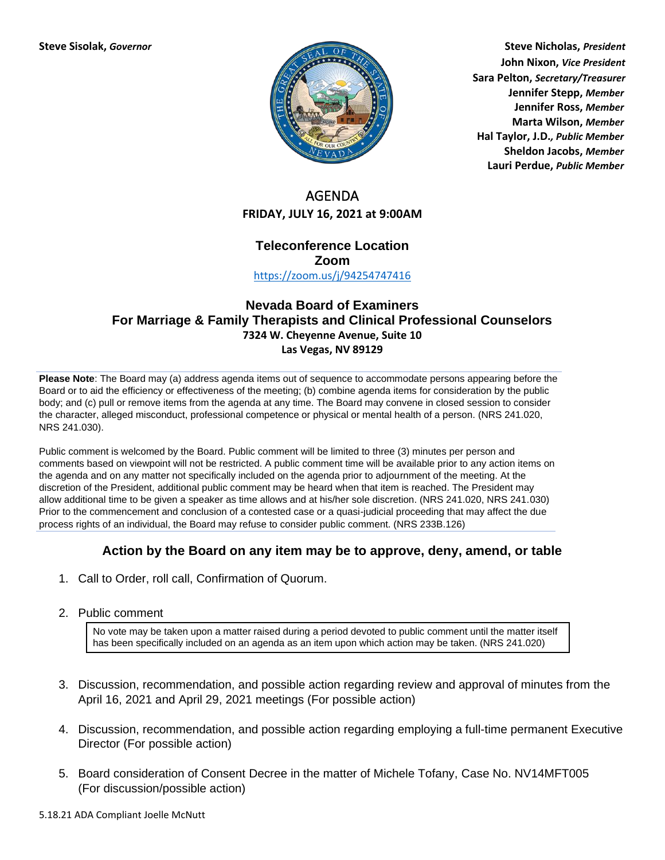

**Steve Sisolak,** *Governor* **Steve Nicholas,** *President* **John Nixon,** *Vice President* **Sara Pelton,** *Secretary/Treasurer* **Jennifer Stepp,** *Member* **Jennifer Ross,** *Member* **Marta Wilson,** *Member* **Hal Taylor, J.D.***, Public Member* **Sheldon Jacobs,** *Member* **Lauri Perdue,** *Public Member*

# AGENDA **FRIDAY, JULY 16, 2021 at 9:00AM**

## **Teleconference Location Zoom**

<https://zoom.us/j/94254747416>

## **Nevada Board of Examiners For Marriage & Family Therapists and Clinical Professional Counselors 7324 W. Cheyenne Avenue, Suite 10 Las Vegas, NV 89129**

**Please Note**: The Board may (a) address agenda items out of sequence to accommodate persons appearing before the Board or to aid the efficiency or effectiveness of the meeting; (b) combine agenda items for consideration by the public body; and (c) pull or remove items from the agenda at any time. The Board may convene in closed session to consider the character, alleged misconduct, professional competence or physical or mental health of a person. (NRS 241.020, NRS 241.030).

Public comment is welcomed by the Board. Public comment will be limited to three (3) minutes per person and comments based on viewpoint will not be restricted. A public comment time will be available prior to any action items on the agenda and on any matter not specifically included on the agenda prior to adjournment of the meeting. At the discretion of the President, additional public comment may be heard when that item is reached. The President may allow additional time to be given a speaker as time allows and at his/her sole discretion. (NRS 241.020, NRS 241.030) Prior to the commencement and conclusion of a contested case or a quasi-judicial proceeding that may affect the due process rights of an individual, the Board may refuse to consider public comment. (NRS 233B.126)

## **Action by the Board on any item may be to approve, deny, amend, or table**

- 1. Call to Order, roll call, Confirmation of Quorum.
- 2. Public comment

No vote may be taken upon a matter raised during a period devoted to public comment until the matter itself has been specifically included on an agenda as an item upon which action may be taken. (NRS 241.020)

- 3. Discussion, recommendation, and possible action regarding review and approval of minutes from the April 16, 2021 and April 29, 2021 meetings (For possible action)
- 4. Discussion, recommendation, and possible action regarding employing a full-time permanent Executive Director (For possible action)
- 5. Board consideration of Consent Decree in the matter of Michele Tofany, Case No. NV14MFT005 (For discussion/possible action)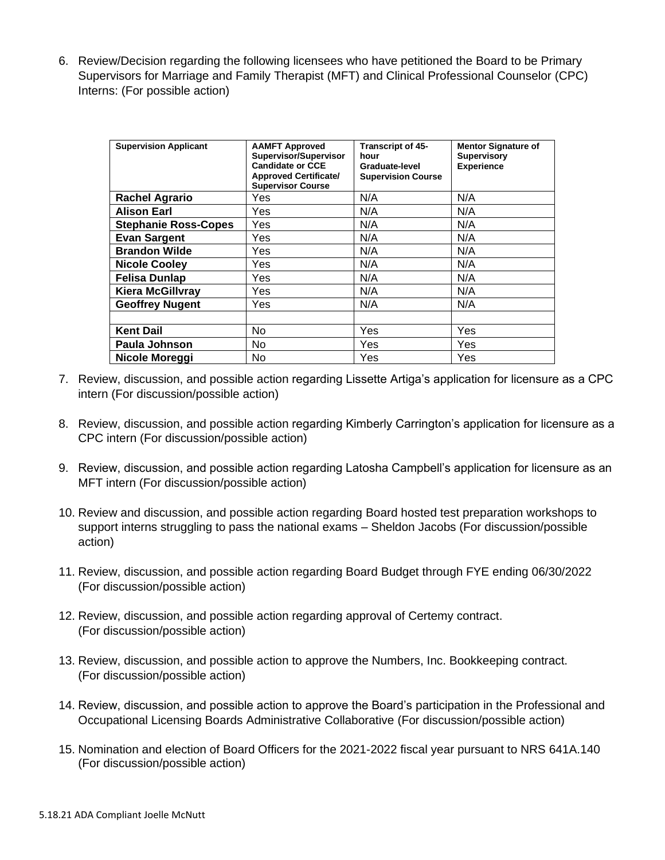6. Review/Decision regarding the following licensees who have petitioned the Board to be Primary Supervisors for Marriage and Family Therapist (MFT) and Clinical Professional Counselor (CPC) Interns: (For possible action)

| <b>Supervision Applicant</b> | <b>AAMFT Approved</b><br>Supervisor/Supervisor<br><b>Candidate or CCE</b><br><b>Approved Certificate/</b><br><b>Supervisor Course</b> | <b>Transcript of 45-</b><br>hour<br>Graduate-level<br><b>Supervision Course</b> | <b>Mentor Signature of</b><br><b>Supervisory</b><br><b>Experience</b> |
|------------------------------|---------------------------------------------------------------------------------------------------------------------------------------|---------------------------------------------------------------------------------|-----------------------------------------------------------------------|
| <b>Rachel Agrario</b>        | Yes                                                                                                                                   | N/A                                                                             | N/A                                                                   |
| <b>Alison Earl</b>           | Yes                                                                                                                                   | N/A                                                                             | N/A                                                                   |
| <b>Stephanie Ross-Copes</b>  | Yes                                                                                                                                   | N/A                                                                             | N/A                                                                   |
| <b>Evan Sargent</b>          | Yes                                                                                                                                   | N/A                                                                             | N/A                                                                   |
| <b>Brandon Wilde</b>         | Yes                                                                                                                                   | N/A                                                                             | N/A                                                                   |
| <b>Nicole Cooley</b>         | Yes                                                                                                                                   | N/A                                                                             | N/A                                                                   |
| <b>Felisa Dunlap</b>         | Yes                                                                                                                                   | N/A                                                                             | N/A                                                                   |
| <b>Kiera McGillvray</b>      | Yes                                                                                                                                   | N/A                                                                             | N/A                                                                   |
| <b>Geoffrey Nugent</b>       | Yes                                                                                                                                   | N/A                                                                             | N/A                                                                   |
|                              |                                                                                                                                       |                                                                                 |                                                                       |
| <b>Kent Dail</b>             | No.                                                                                                                                   | <b>Yes</b>                                                                      | Yes                                                                   |
| Paula Johnson                | <b>No</b>                                                                                                                             | <b>Yes</b>                                                                      | Yes                                                                   |
| Nicole Moreggi               | No                                                                                                                                    | Yes                                                                             | Yes                                                                   |

- 7. Review, discussion, and possible action regarding Lissette Artiga's application for licensure as a CPC intern (For discussion/possible action)
- 8. Review, discussion, and possible action regarding Kimberly Carrington's application for licensure as a CPC intern (For discussion/possible action)
- 9. Review, discussion, and possible action regarding Latosha Campbell's application for licensure as an MFT intern (For discussion/possible action)
- 10. Review and discussion, and possible action regarding Board hosted test preparation workshops to support interns struggling to pass the national exams – Sheldon Jacobs (For discussion/possible action)
- 11. Review, discussion, and possible action regarding Board Budget through FYE ending 06/30/2022 (For discussion/possible action)
- 12. Review, discussion, and possible action regarding approval of Certemy contract. (For discussion/possible action)
- 13. Review, discussion, and possible action to approve the Numbers, Inc. Bookkeeping contract. (For discussion/possible action)
- 14. Review, discussion, and possible action to approve the Board's participation in the Professional and Occupational Licensing Boards Administrative Collaborative (For discussion/possible action)
- 15. Nomination and election of Board Officers for the 2021-2022 fiscal year pursuant to NRS 641A.140 (For discussion/possible action)